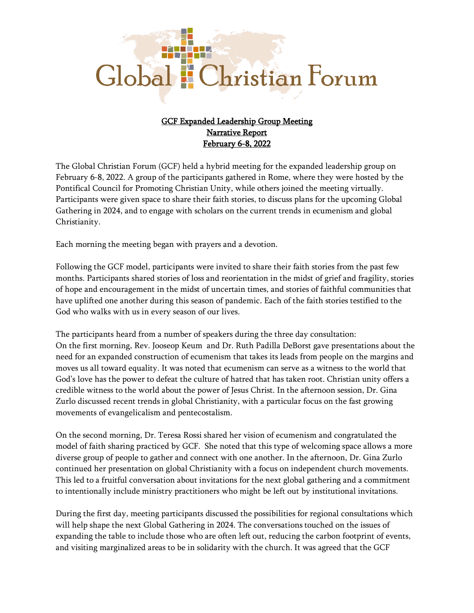## Global : Christian Forum

## GCF Expanded Leadership Group Meeting Narrative Report February 6-8, 2022

The Global Christian Forum (GCF) held a hybrid meeting for the expanded leadership group on February 6-8, 2022. A group of the participants gathered in Rome, where they were hosted by the Pontifical Council for Promoting Christian Unity, while others joined the meeting virtually. Participants were given space to share their faith stories, to discuss plans for the upcoming Global Gathering in 2024, and to engage with scholars on the current trends in ecumenism and global Christianity.

Each morning the meeting began with prayers and a devotion.

Following the GCF model, participants were invited to share their faith stories from the past few months. Participants shared stories of loss and reorientation in the midst of grief and fragility, stories of hope and encouragement in the midst of uncertain times, and stories of faithful communities that have uplifted one another during this season of pandemic. Each of the faith stories testified to the God who walks with us in every season of our lives.

The participants heard from a number of speakers during the three day consultation: On the first morning, Rev. Jooseop Keum and Dr. Ruth Padilla DeBorst gave presentations about the need for an expanded construction of ecumenism that takes its leads from people on the margins and moves us all toward equality. It was noted that ecumenism can serve as a witness to the world that God's love has the power to defeat the culture of hatred that has taken root. Christian unity offers a credible witness to the world about the power of Jesus Christ. In the afternoon session, Dr. Gina Zurlo discussed recent trends in global Christianity, with a particular focus on the fast growing movements of evangelicalism and pentecostalism.

On the second morning, Dr. Teresa Rossi shared her vision of ecumenism and congratulated the model of faith sharing practiced by GCF. She noted that this type of welcoming space allows a more diverse group of people to gather and connect with one another. In the afternoon, Dr. Gina Zurlo continued her presentation on global Christianity with a focus on independent church movements. This led to a fruitful conversation about invitations for the next global gathering and a commitment to intentionally include ministry practitioners who might be left out by institutional invitations.

During the first day, meeting participants discussed the possibilities for regional consultations which will help shape the next Global Gathering in 2024. The conversations touched on the issues of expanding the table to include those who are often left out, reducing the carbon footprint of events, and visiting marginalized areas to be in solidarity with the church. It was agreed that the GCF